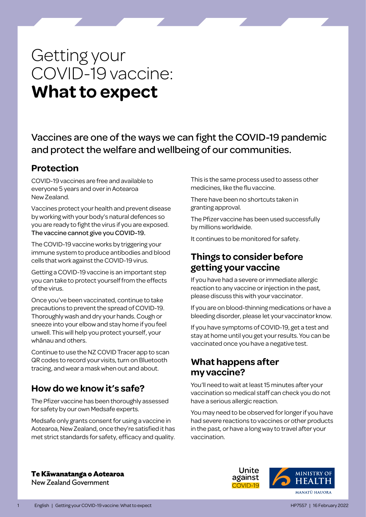# Getting your COVID-19 vaccine: **What to expect**

Vaccines are one of the ways we can fight the COVID-19 pandemic and protect the welfare and wellbeing of our communities.

# **Protection**

COVID-19 vaccines are free and available to everyone 5 years and over in Aotearoa New Zealand.

Vaccines protect your health and prevent disease by working with your body's natural defences so you are ready to fight the virus if you are exposed. The vaccine cannot give you COVID-19.

The COVID-19 vaccine works by triggering your immune system to produce antibodies and blood cells that work against the COVID-19 virus.

Getting a COVID-19 vaccine is an important step you can take to protect yourself from the effects of the virus.

Once you've been vaccinated, continue to take precautions to prevent the spread of COVID-19. Thoroughly wash and dry your hands. Cough or sneeze into your elbow and stay home if you feel unwell. This will help you protect yourself, your whānau and others.

Continue to use the NZ COVID Tracer app to scan QR codes to record your visits, turn on Bluetooth tracing, and wear a mask when out and about.

# **How do we know it's safe?**

The Pfizer vaccine has been thoroughly assessed for safety by our own Medsafe experts.

Medsafe only grants consent for using a vaccine in Aotearoa, New Zealand, once they're satisfied it has met strict standards for safety, efficacy and quality.

This is the same process used to assess other medicines, like the flu vaccine.

There have been no shortcuts taken in granting approval.

The Pfizer vaccine has been used successfully by millions worldwide.

It continues to be monitored for safety.

# **Things to consider before getting your vaccine**

If you have had a severe or immediate allergic reaction to any vaccine or injection in the past, please discuss this with your vaccinator.

If you are on blood-thinning medications or have a bleeding disorder, please let your vaccinator know.

If you have symptoms of COVID-19, get a test and stay at home until you get your results. You can be vaccinated once you have a negative test.

# **What happens after my vaccine?**

You'll need to wait at least 15 minutes after your vaccination so medical staff can check you do not have a serious allergic reaction.

You may need to be observed for longer if you have had severe reactions to vaccines or other products in the past, or have a long way to travel after your vaccination.

#### Te Kāwanatanga o Aotearoa

New Zealand Government